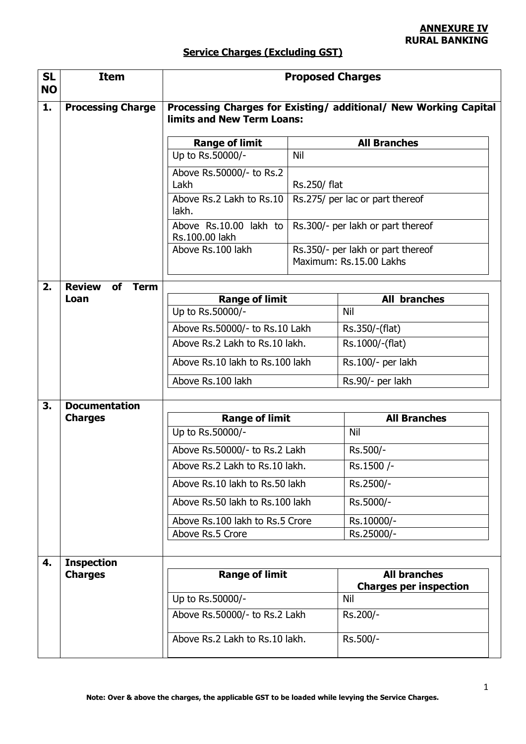## **Service Charges (Excluding GST)**

| <b>SL</b><br><b>NO</b> | <b>Item</b>                        | <b>Proposed Charges</b>                                                                        |              |                                                              |  |
|------------------------|------------------------------------|------------------------------------------------------------------------------------------------|--------------|--------------------------------------------------------------|--|
| 1.                     | <b>Processing Charge</b>           | Processing Charges for Existing/ additional/ New Working Capital<br>limits and New Term Loans: |              |                                                              |  |
|                        |                                    | <b>Range of limit</b>                                                                          |              | <b>All Branches</b>                                          |  |
|                        |                                    | Up to Rs.50000/-                                                                               | Nil          |                                                              |  |
|                        |                                    | Above Rs.50000/- to Rs.2<br>Lakh                                                               | Rs.250/ flat |                                                              |  |
|                        |                                    | Above Rs.2 Lakh to Rs.10<br>lakh.                                                              |              | Rs.275/ per lac or part thereof                              |  |
|                        |                                    | Above Rs.10.00 lakh to<br>Rs.100.00 lakh                                                       |              | Rs.300/- per lakh or part thereof                            |  |
|                        |                                    | Above Rs.100 lakh                                                                              |              | Rs.350/- per lakh or part thereof<br>Maximum: Rs.15.00 Lakhs |  |
| 2.                     | <b>Review</b><br>of<br><b>Term</b> |                                                                                                |              |                                                              |  |
|                        | Loan                               | <b>Range of limit</b>                                                                          |              | <b>All branches</b>                                          |  |
|                        |                                    | Up to Rs.50000/-                                                                               |              | Nil                                                          |  |
|                        |                                    | Above Rs.50000/- to Rs.10 Lakh                                                                 |              | Rs.350/-(flat)                                               |  |
|                        |                                    | Above Rs.2 Lakh to Rs.10 lakh.                                                                 |              | Rs.1000/-(flat)                                              |  |
|                        |                                    | Above Rs.10 lakh to Rs.100 lakh                                                                |              | Rs.100/- per lakh                                            |  |
|                        |                                    | Above Rs.100 lakh                                                                              |              | Rs.90/- per lakh                                             |  |
| 3.                     | <b>Documentation</b>               |                                                                                                |              |                                                              |  |
|                        | <b>Charges</b>                     | <b>Range of limit</b>                                                                          |              | <b>All Branches</b>                                          |  |
|                        |                                    | Up to Rs.50000/-                                                                               |              | Nil                                                          |  |
|                        |                                    | Above Rs.50000/- to Rs.2 Lakh                                                                  |              | Rs.500/-                                                     |  |
|                        |                                    | Above Rs.2 Lakh to Rs.10 lakh.                                                                 |              | Rs.1500 /-                                                   |  |
|                        |                                    | Above Rs.10 lakh to Rs.50 lakh                                                                 |              | Rs.2500/-                                                    |  |
|                        |                                    | Above Rs.50 lakh to Rs.100 lakh                                                                |              | Rs.5000/-                                                    |  |
|                        |                                    | Above Rs.100 lakh to Rs.5 Crore                                                                |              | Rs.10000/-                                                   |  |
|                        |                                    | Above Rs.5 Crore                                                                               |              | Rs.25000/-                                                   |  |
| 4.                     | <b>Inspection</b>                  |                                                                                                |              |                                                              |  |
|                        | <b>Charges</b>                     | <b>Range of limit</b>                                                                          |              | <b>All branches</b><br><b>Charges per inspection</b>         |  |
|                        |                                    | Up to Rs.50000/-                                                                               |              | Nil                                                          |  |
|                        |                                    | Above Rs.50000/- to Rs.2 Lakh                                                                  |              | Rs.200/-                                                     |  |
|                        |                                    | Above Rs.2 Lakh to Rs.10 lakh.                                                                 |              | Rs.500/-                                                     |  |